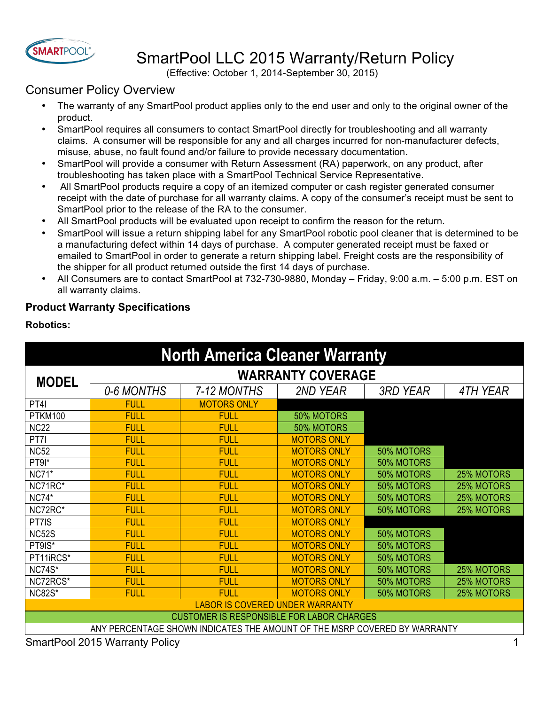

# SmartPool LLC 2015 Warranty/Return Policy

(Effective: October 1, 2014-September 30, 2015)

# Consumer Policy Overview

- The warranty of any SmartPool product applies only to the end user and only to the original owner of the product.
- SmartPool requires all consumers to contact SmartPool directly for troubleshooting and all warranty claims. A consumer will be responsible for any and all charges incurred for non-manufacturer defects, misuse, abuse, no fault found and/or failure to provide necessary documentation.
- SmartPool will provide a consumer with Return Assessment (RA) paperwork, on any product, after troubleshooting has taken place with a SmartPool Technical Service Representative.
- All SmartPool products require a copy of an itemized computer or cash register generated consumer receipt with the date of purchase for all warranty claims. A copy of the consumer's receipt must be sent to SmartPool prior to the release of the RA to the consumer.
- All SmartPool products will be evaluated upon receipt to confirm the reason for the return.
- SmartPool will issue a return shipping label for any SmartPool robotic pool cleaner that is determined to be a manufacturing defect within 14 days of purchase. A computer generated receipt must be faxed or emailed to SmartPool in order to generate a return shipping label. Freight costs are the responsibility of the shipper for all product returned outside the first 14 days of purchase.
- All Consumers are to contact SmartPool at 732-730-9880, Monday Friday, 9:00 a.m. 5:00 p.m. EST on all warranty claims.

# **Product Warranty Specifications**

# **Robotics:**

| <b>North America Cleaner Warranty</b>                                     |                          |                    |                    |                   |                   |  |  |
|---------------------------------------------------------------------------|--------------------------|--------------------|--------------------|-------------------|-------------------|--|--|
| <b>MODEL</b>                                                              | <b>WARRANTY COVERAGE</b> |                    |                    |                   |                   |  |  |
|                                                                           | 0-6 MONTHS               | 7-12 MONTHS        | 2ND YEAR           | <b>3RD YEAR</b>   | 4TH YEAR          |  |  |
| PT4I                                                                      | <b>FULL</b>              | <b>MOTORS ONLY</b> |                    |                   |                   |  |  |
| <b>PTKM100</b>                                                            | <b>FULL</b>              | <b>FULL</b>        | 50% MOTORS         |                   |                   |  |  |
| <b>NC22</b>                                                               | <b>FULL</b>              | <b>FULL</b>        | 50% MOTORS         |                   |                   |  |  |
| PT7I                                                                      | <b>FULL</b>              | <b>FULL</b>        | <b>MOTORS ONLY</b> |                   |                   |  |  |
| <b>NC52</b>                                                               | <b>FULL</b>              | <b>FULL</b>        | <b>MOTORS ONLY</b> | 50% MOTORS        |                   |  |  |
| PT9I*                                                                     | <b>FULL</b>              | <b>FULL</b>        | <b>MOTORS ONLY</b> | <b>50% MOTORS</b> |                   |  |  |
| <b>NC71*</b>                                                              | <b>FULL</b>              | <b>FULL</b>        | <b>MOTORS ONLY</b> | 50% MOTORS        | 25% MOTORS        |  |  |
| NC71RC*                                                                   | <b>FULL</b>              | <b>FULL</b>        | <b>MOTORS ONLY</b> | 50% MOTORS        | <b>25% MOTORS</b> |  |  |
| <b>NC74*</b>                                                              | <b>FULL</b>              | <b>FULL</b>        | <b>MOTORS ONLY</b> | 50% MOTORS        | <b>25% MOTORS</b> |  |  |
| NC72RC*                                                                   | <b>FULL</b>              | <b>FULL</b>        | <b>MOTORS ONLY</b> | 50% MOTORS        | <b>25% MOTORS</b> |  |  |
| PT7IS                                                                     | <b>FULL</b>              | <b>FULL</b>        | <b>MOTORS ONLY</b> |                   |                   |  |  |
| <b>NC52S</b>                                                              | <b>FULL</b>              | <b>FULL</b>        | <b>MOTORS ONLY</b> | <b>50% MOTORS</b> |                   |  |  |
| PT9IS*                                                                    | <b>FULL</b>              | <b>FULL</b>        | <b>MOTORS ONLY</b> | 50% MOTORS        |                   |  |  |
| PT11iRCS*                                                                 | <b>FULL</b>              | <b>FULL</b>        | <b>MOTORS ONLY</b> | <b>50% MOTORS</b> |                   |  |  |
| <b>NC74S*</b>                                                             | <b>FULL</b>              | <b>FULL</b>        | <b>MOTORS ONLY</b> | 50% MOTORS        | <b>25% MOTORS</b> |  |  |
| NC72RCS*                                                                  | <b>FULL</b>              | <b>FULL</b>        | <b>MOTORS ONLY</b> | <b>50% MOTORS</b> | <b>25% MOTORS</b> |  |  |
| <b>NC82S*</b>                                                             | <b>FULL</b>              | <b>FULI</b>        | <b>MOTORS ONLY</b> | 50% MOTORS        | <b>25% MOTORS</b> |  |  |
| <b>LABOR IS COVERED UNDER WARRANTY</b>                                    |                          |                    |                    |                   |                   |  |  |
| <b>CUSTOMER IS RESPONSIBLE FOR LABOR CHARGES</b>                          |                          |                    |                    |                   |                   |  |  |
| ANY PERCENTAGE SHOWN INDICATES THE AMOUNT OF THE MSRP COVERED BY WARRANTY |                          |                    |                    |                   |                   |  |  |
|                                                                           |                          |                    |                    |                   |                   |  |  |

SmartPool 2015 Warranty Policy 1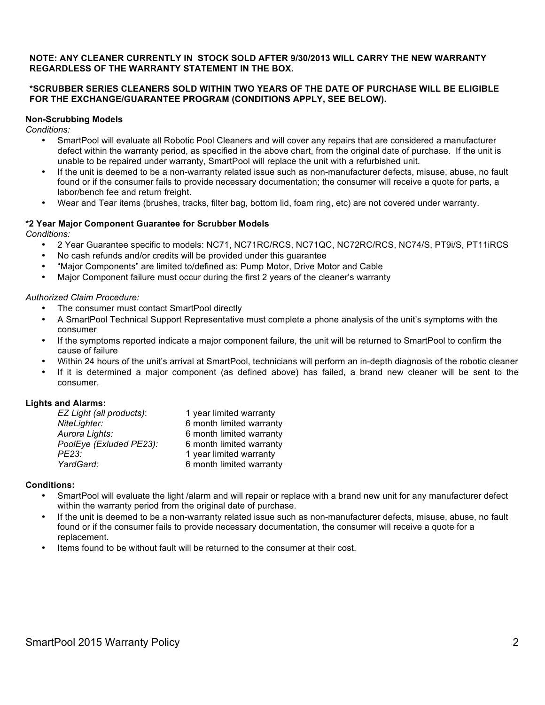# **NOTE: ANY CLEANER CURRENTLY IN STOCK SOLD AFTER 9/30/2013 WILL CARRY THE NEW WARRANTY REGARDLESS OF THE WARRANTY STATEMENT IN THE BOX.**

# **\*SCRUBBER SERIES CLEANERS SOLD WITHIN TWO YEARS OF THE DATE OF PURCHASE WILL BE ELIGIBLE FOR THE EXCHANGE/GUARANTEE PROGRAM (CONDITIONS APPLY, SEE BELOW).**

## **Non-Scrubbing Models**

*Conditions:*

- SmartPool will evaluate all Robotic Pool Cleaners and will cover any repairs that are considered a manufacturer defect within the warranty period, as specified in the above chart, from the original date of purchase. If the unit is unable to be repaired under warranty, SmartPool will replace the unit with a refurbished unit.
- If the unit is deemed to be a non-warranty related issue such as non-manufacturer defects, misuse, abuse, no fault found or if the consumer fails to provide necessary documentation; the consumer will receive a quote for parts, a labor/bench fee and return freight.
- Wear and Tear items (brushes, tracks, filter bag, bottom lid, foam ring, etc) are not covered under warranty.

# **\*2 Year Major Component Guarantee for Scrubber Models**

*Conditions:*

- 2 Year Guarantee specific to models: NC71, NC71RC/RCS, NC71QC, NC72RC/RCS, NC74/S, PT9i/S, PT11iRCS
- No cash refunds and/or credits will be provided under this guarantee
- "Major Components" are limited to/defined as: Pump Motor, Drive Motor and Cable
- Major Component failure must occur during the first 2 years of the cleaner's warranty

# *Authorized Claim Procedure:*

- The consumer must contact SmartPool directly
- A SmartPool Technical Support Representative must complete a phone analysis of the unit's symptoms with the consumer
- If the symptoms reported indicate a major component failure, the unit will be returned to SmartPool to confirm the cause of failure
- Within 24 hours of the unit's arrival at SmartPool, technicians will perform an in-depth diagnosis of the robotic cleaner
- If it is determined a major component (as defined above) has failed, a brand new cleaner will be sent to the consumer.

# **Lights and Alarms:**

| EZ Light (all products): | 1 year limited warranty  |
|--------------------------|--------------------------|
| NiteLighter:             | 6 month limited warranty |
| Aurora Lights:           | 6 month limited warranty |
| PoolEye (Exluded PE23):  | 6 month limited warranty |
| PE23:                    | 1 year limited warranty  |
| YardGard:                | 6 month limited warranty |

## **Conditions:**

- SmartPool will evaluate the light /alarm and will repair or replace with a brand new unit for any manufacturer defect within the warranty period from the original date of purchase.
- If the unit is deemed to be a non-warranty related issue such as non-manufacturer defects, misuse, abuse, no fault found or if the consumer fails to provide necessary documentation, the consumer will receive a quote for a replacement.
- Items found to be without fault will be returned to the consumer at their cost.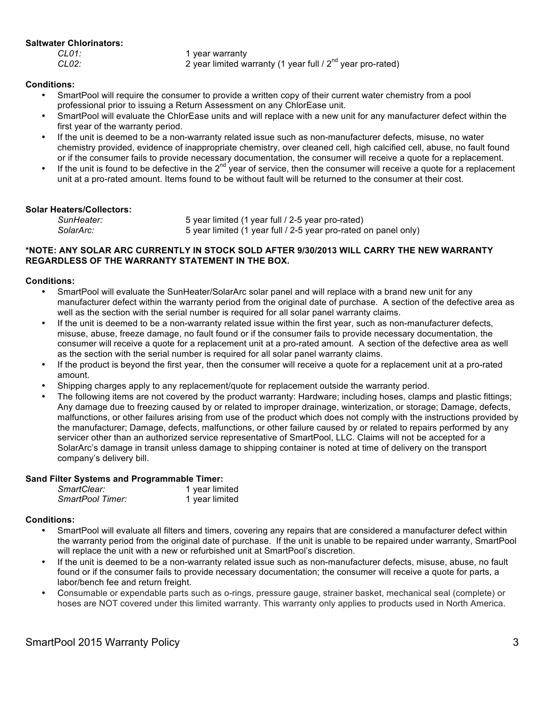# **Saltwater Chlorinators:**

*CL01:* 1 year warranty

*CL02:* 2 year limited warranty (1 year full / 2nd year pro-rated)

# **Conditions:**

- SmartPool will require the consumer to provide a written copy of their current water chemistry from a pool professional prior to issuing a Return Assessment on any ChlorEase unit.
- SmartPool will evaluate the ChlorEase units and will replace with a new unit for any manufacturer defect within the first year of the warranty period.
- If the unit is deemed to be a non-warranty related issue such as non-manufacturer defects, misuse, no water chemistry provided, evidence of inappropriate chemistry, over cleaned cell, high calcified cell, abuse, no fault found or if the consumer fails to provide necessary documentation, the consumer will receive a quote for a replacement.
- $\bullet$  If the unit is found to be defective in the  $2^{nd}$  year of service, then the consumer will receive a quote for a replacement unit at a pro-rated amount. Items found to be without fault will be returned to the consumer at their cost.

# **Solar Heaters/Collectors:**

| SunHeater: | 5 year limited (1 year full / 2-5 year pro-rated)               |
|------------|-----------------------------------------------------------------|
| SolarArc:  | 5 year limited (1 year full / 2-5 year pro-rated on panel only) |

# **\*NOTE: ANY SOLAR ARC CURRENTLY IN STOCK SOLD AFTER 9/30/2013 WILL CARRY THE NEW WARRANTY REGARDLESS OF THE WARRANTY STATEMENT IN THE BOX.**

# **Conditions:**

- SmartPool will evaluate the SunHeater/SolarArc solar panel and will replace with a brand new unit for any manufacturer defect within the warranty period from the original date of purchase. A section of the defective area as well as the section with the serial number is required for all solar panel warranty claims.
- If the unit is deemed to be a non-warranty related issue within the first year, such as non-manufacturer defects, misuse, abuse, freeze damage, no fault found or if the consumer fails to provide necessary documentation, the consumer will receive a quote for a replacement unit at a pro-rated amount. A section of the defective area as well as the section with the serial number is required for all solar panel warranty claims.
- If the product is beyond the first year, then the consumer will receive a quote for a replacement unit at a pro-rated amount.
- Shipping charges apply to any replacement/quote for replacement outside the warranty period.
- The following items are not covered by the product warranty: Hardware; including hoses, clamps and plastic fittings; Any damage due to freezing caused by or related to improper drainage, winterization, or storage; Damage, defects, malfunctions, or other failures arising from use of the product which does not comply with the instructions provided by the manufacturer; Damage, defects, malfunctions, or other failure caused by or related to repairs performed by any servicer other than an authorized service representative of SmartPool, LLC. Claims will not be accepted for a SolarArc's damage in transit unless damage to shipping container is noted at time of delivery on the transport company's delivery bill.

## **Sand Filter Systems and Programmable Timer:**

| SmartClear:      | 1 year limited |
|------------------|----------------|
| SmartPool Timer: | 1 year limited |

## **Conditions:**

- SmartPool will evaluate all filters and timers, covering any repairs that are considered a manufacturer defect within the warranty period from the original date of purchase. If the unit is unable to be repaired under warranty, SmartPool will replace the unit with a new or refurbished unit at SmartPool's discretion.
- If the unit is deemed to be a non-warranty related issue such as non-manufacturer defects, misuse, abuse, no fault found or if the consumer fails to provide necessary documentation; the consumer will receive a quote for parts, a labor/bench fee and return freight.
- Consumable or expendable parts such as o-rings, pressure gauge, strainer basket, mechanical seal (complete) or hoses are NOT covered under this limited warranty. This warranty only applies to products used in North America.